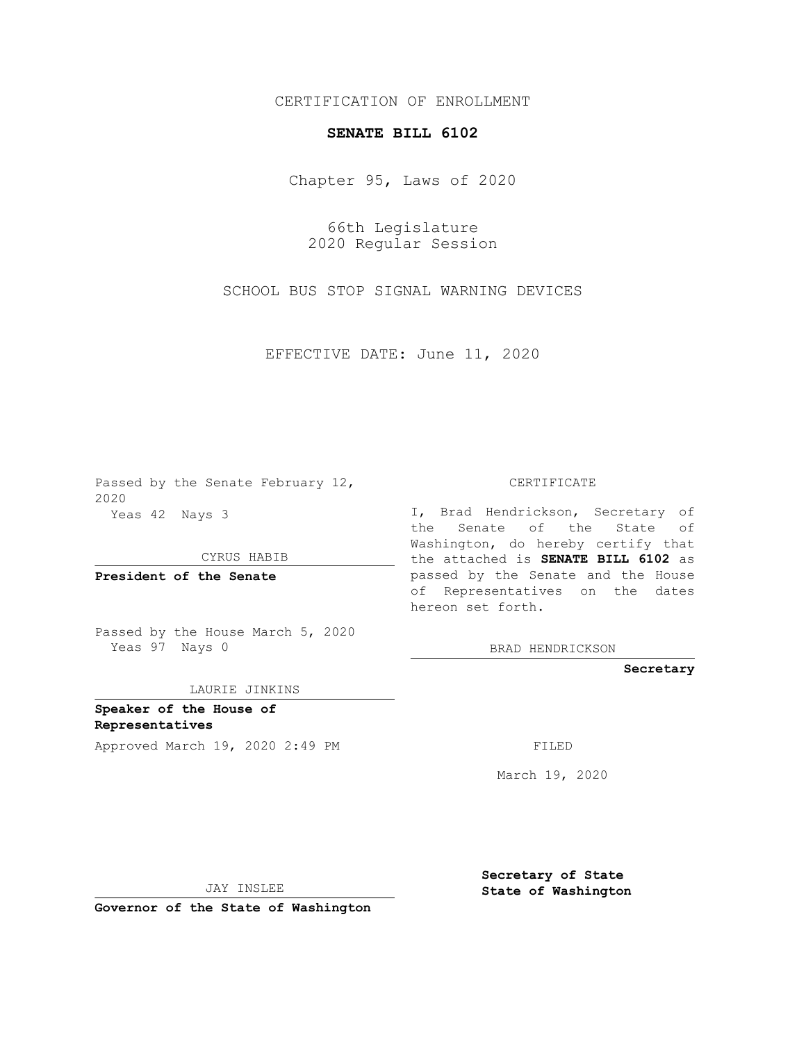## CERTIFICATION OF ENROLLMENT

## **SENATE BILL 6102**

Chapter 95, Laws of 2020

66th Legislature 2020 Regular Session

SCHOOL BUS STOP SIGNAL WARNING DEVICES

EFFECTIVE DATE: June 11, 2020

Passed by the Senate February 12, 2020 Yeas 42 Nays 3

CYRUS HABIB

**President of the Senate**

Passed by the House March 5, 2020 Yeas 97 Nays 0

LAURIE JINKINS

**Speaker of the House of Representatives**

Approved March 19, 2020 2:49 PM FILED

CERTIFICATE

I, Brad Hendrickson, Secretary of the Senate of the State of Washington, do hereby certify that the attached is **SENATE BILL 6102** as passed by the Senate and the House of Representatives on the dates hereon set forth.

BRAD HENDRICKSON

**Secretary**

March 19, 2020

JAY INSLEE

**Governor of the State of Washington**

**Secretary of State State of Washington**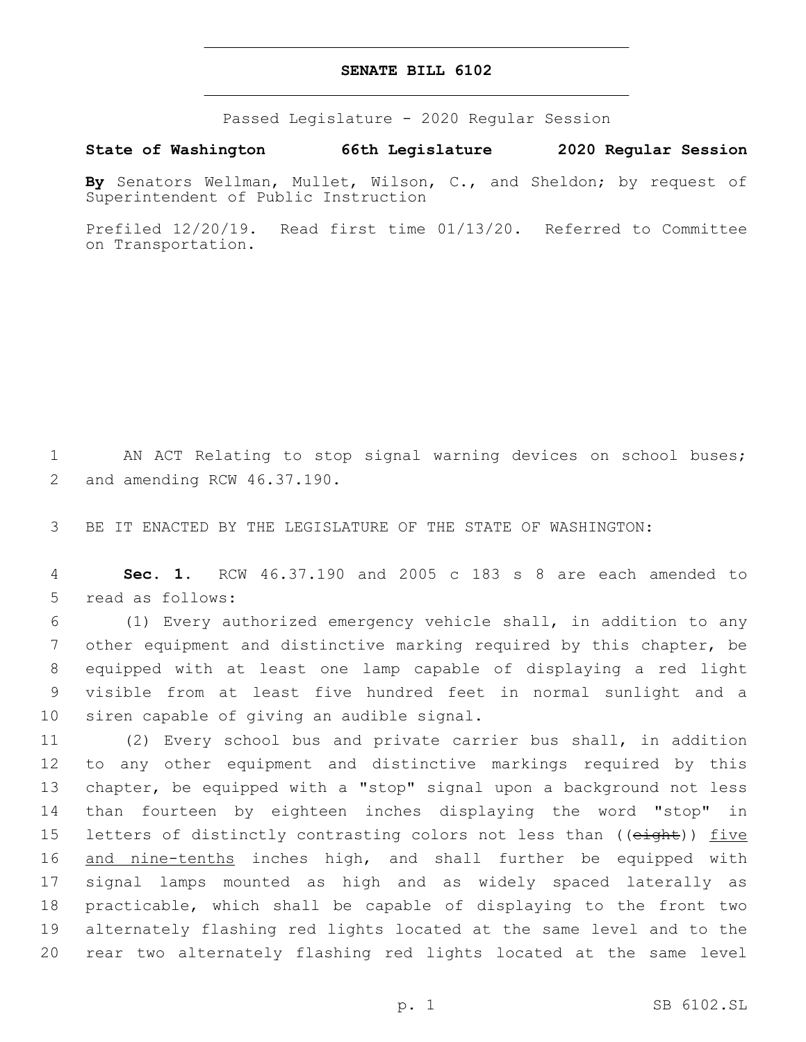## **SENATE BILL 6102**

Passed Legislature - 2020 Regular Session

**State of Washington 66th Legislature 2020 Regular Session**

**By** Senators Wellman, Mullet, Wilson, C., and Sheldon; by request of Superintendent of Public Instruction

Prefiled 12/20/19. Read first time 01/13/20. Referred to Committee on Transportation.

1 AN ACT Relating to stop signal warning devices on school buses; 2 and amending RCW 46.37.190.

3 BE IT ENACTED BY THE LEGISLATURE OF THE STATE OF WASHINGTON:

4 **Sec. 1.** RCW 46.37.190 and 2005 c 183 s 8 are each amended to 5 read as follows:

 (1) Every authorized emergency vehicle shall, in addition to any other equipment and distinctive marking required by this chapter, be equipped with at least one lamp capable of displaying a red light visible from at least five hundred feet in normal sunlight and a 10 siren capable of giving an audible signal.

 (2) Every school bus and private carrier bus shall, in addition to any other equipment and distinctive markings required by this chapter, be equipped with a "stop" signal upon a background not less than fourteen by eighteen inches displaying the word "stop" in 15 letters of distinctly contrasting colors not less than ((eight)) five 16 and nine-tenths inches high, and shall further be equipped with signal lamps mounted as high and as widely spaced laterally as practicable, which shall be capable of displaying to the front two alternately flashing red lights located at the same level and to the rear two alternately flashing red lights located at the same level